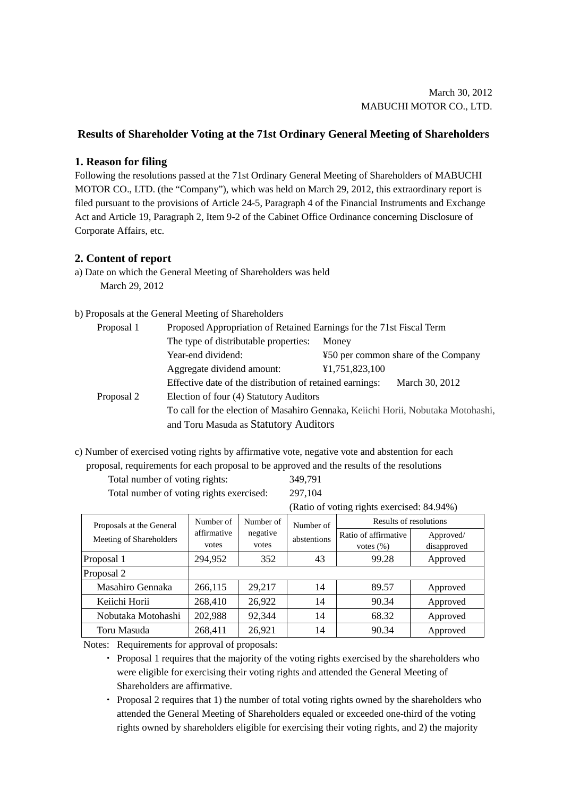## **Results of Shareholder Voting at the 71st Ordinary General Meeting of Shareholders**

## **1. Reason for filing**

Following the resolutions passed at the 71st Ordinary General Meeting of Shareholders of MABUCHI MOTOR CO., LTD. (the "Company"), which was held on March 29, 2012, this extraordinary report is filed pursuant to the provisions of Article 24-5, Paragraph 4 of the Financial Instruments and Exchange Act and Article 19, Paragraph 2, Item 9-2 of the Cabinet Office Ordinance concerning Disclosure of Corporate Affairs, etc.

## **2. Content of report**

a) Date on which the General Meeting of Shareholders was held March 29, 2012

## b) Proposals at the General Meeting of Shareholders

| Proposal 1 | Proposed Appropriation of Retained Earnings for the 71st Fiscal Term             |                                     |  |  |  |
|------------|----------------------------------------------------------------------------------|-------------------------------------|--|--|--|
|            | The type of distributable properties:                                            | Money                               |  |  |  |
|            | Year-end dividend:                                                               | ¥50 per common share of the Company |  |  |  |
|            | Aggregate dividend amount:                                                       | ¥1,751,823,100                      |  |  |  |
|            | Effective date of the distribution of retained earnings:<br>March 30, 2012       |                                     |  |  |  |
| Proposal 2 | Election of four (4) Statutory Auditors                                          |                                     |  |  |  |
|            | To call for the election of Masahiro Gennaka, Keiichi Horii, Nobutaka Motohashi, |                                     |  |  |  |
|            | and Toru Masuda as Statutory Auditors                                            |                                     |  |  |  |

c) Number of exercised voting rights by affirmative vote, negative vote and abstention for each quirements for each proposal to be approved and the results of the resolutions

|                                | proposal, requirements for each proposal to be approved and the results of the resoli |
|--------------------------------|---------------------------------------------------------------------------------------|
| Total number of voting rights: | 349.791                                                                               |

| Total number of voting rights:           | 349,791 |
|------------------------------------------|---------|
| Total number of voting rights exercised: | 297,104 |

(Ratio of voting rights exercised: 84.94%)

| Proposals at the General | Number of      | Number of<br>negative | Number of<br>abstentions | Results of resolutions |           |
|--------------------------|----------------|-----------------------|--------------------------|------------------------|-----------|
| Meeting of Shareholders  | affirmative    |                       |                          | Ratio of affirmative   | Approved/ |
|                          | votes<br>votes |                       | votes $(\% )$            | disapproved            |           |
| Proposal 1               | 294,952        | 352                   | 43                       | 99.28                  | Approved  |
| Proposal 2               |                |                       |                          |                        |           |
| Masahiro Gennaka         | 266,115        | 29,217                | 14                       | 89.57                  | Approved  |
| Keiichi Horii            | 268,410        | 26,922                | 14                       | 90.34                  | Approved  |
| Nobutaka Motohashi       | 202,988        | 92,344                | 14                       | 68.32                  | Approved  |
| Toru Masuda              | 268,411        | 26,921                | 14                       | 90.34                  | Approved  |

Notes: Requirements for approval of proposals:

・ Proposal 1 requires that the majority of the voting rights exercised by the shareholders who were eligible for exercising their voting rights and attended the General Meeting of Shareholders are affirmative.

・ Proposal 2 requires that 1) the number of total voting rights owned by the shareholders who attended the General Meeting of Shareholders equaled or exceeded one-third of the voting rights owned by shareholders eligible for exercising their voting rights, and 2) the majority